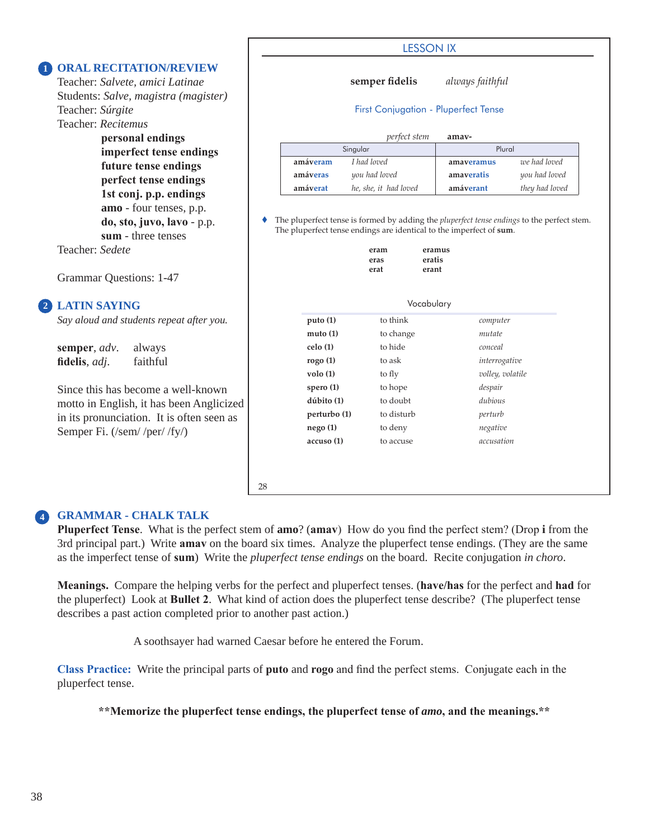#### Lesson iX motto in English, it has been Anglicized **semper fidelis** *always faithful*  First Conjugation - Pluperfect Tense Singular Plural Plural Plural Plural Plural Plural Plural Plural Plural Plural Plural Plural Plural Plural Plural Plural Plural Plural Plural Plural Plural Plural Plural Plural Plural Plural Plural Plural Plural Plural Plu *perfect stem*  **amáveram** *I had loved*  **amáveras** *you had loved*  **amáverat** *he, she, it had loved*   **amavamaveramus** *we had loved*  **amaveratis** *you had loved*  **amáverant** *they had loved*  The pluperfect tense is formed by adding the *pluperfect tense endings* to the perfect stem. The pluperfect tense endings are identical to the imperfect of **sum**. **eram eramus eras eratis erat erant**  Vocabulary **puto (1) muto (1) celo (1) rogo (1) volo (1) spero (1) dúbito (1) perturbo (1) nego (1) accuso (1)**  to think *computer*  to change *mutate*  to hide *conceal*  to ask *interrogative*  to fly *volley, volatile*  to hope *despair*  to doubt *dubious*  to disturb *perturb*  to deny *negative*  to accuse *accusation*

28

# **grammar - chalk talk**

Semper Fi. (/sem/ /per/ /fy/)

**2 latIn saYIng** 

Teacher: *Sedete* 

Grammar Questions: 1-47

**semper**, *adv*. always **fidelis**, *adj*. faithful

*Say aloud and students repeat after you.* 

Since this has become a well-known

in its pronunciation. It is often seen as

**1 oral recItatIon/reVIew** 

Teacher: *Salvete, amici Latinae*  Students: *Salve, magistra (magister)* 

 **personal endings**

 **imperfect tense endings future tense endings perfect tense endings 1st conj. p.p. endings amo** - four tenses, p.p. **do, sto, juvo, lavo** - p.p. **sum** - three tenses

Teacher: *Súrgite*  Teacher: *Recitemus*

**Pluperfect Tense**. What is the perfect stem of **amo**? (**amav**) How do you find the perfect stem? (Drop **i** from the 3rd principal part.) Write **amav** on the board six times. Analyze the pluperfect tense endings. (They are the same as the imperfect tense of **sum**) Write the *pluperfect tense endings* on the board. Recite conjugation *in choro*.

**meanings.** Compare the helping verbs for the perfect and pluperfect tenses. (**have/has** for the perfect and **had** for the pluperfect) Look at **bullet 2**. What kind of action does the pluperfect tense describe? (The pluperfect tense describes a past action completed prior to another past action.)

A soothsayer had warned Caesar before he entered the Forum.

**class Practice:** Write the principal parts of **puto** and **rogo** and find the perfect stems. Conjugate each in the pluperfect tense.

**\*\*memorize the pluperfect tense endings, the pluperfect tense of** *amo***, and the meanings.\*\*** 

**4**